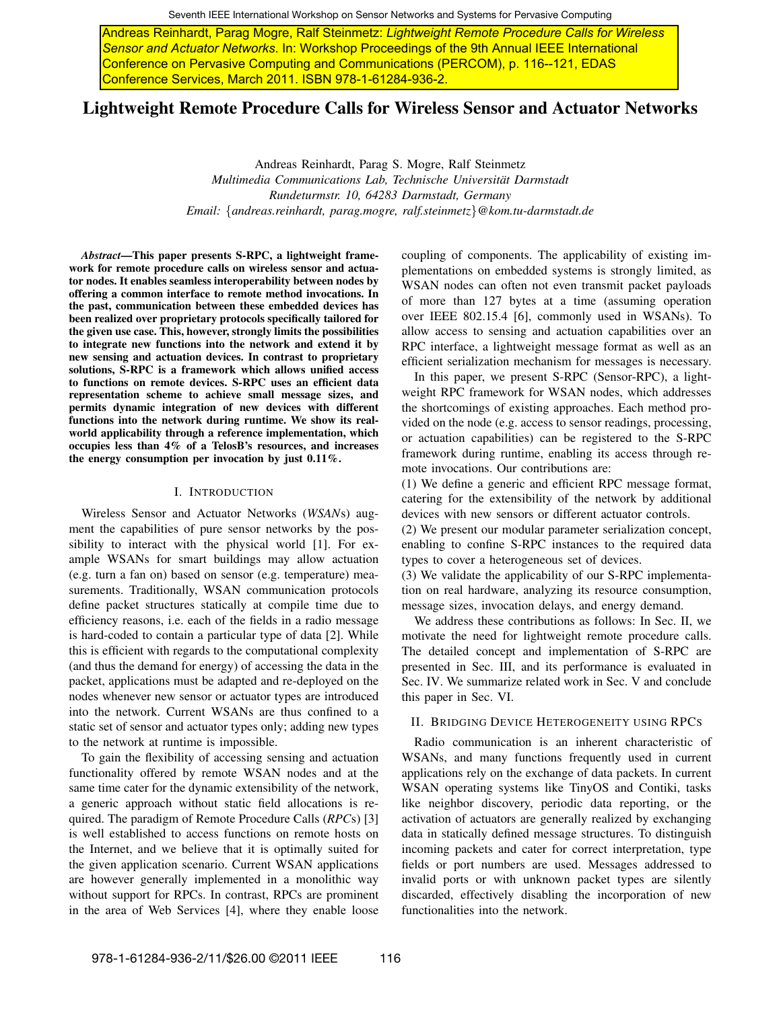Seventh IEEE International Workshop on Sensor Networks and Systems for Pervasive Computing

Sensor and Actuator Networks. In: Workshop Proceedings of the 9th Annual IEEE International Conference on Pervasive Computing and Communications (PERCOM), p. 116--121, EDAS Conference Services, March 2011. ISBN 978-1-61284-936-2.

## Lightweight Remote Procedure Calls for Wireless Sensor and Actuator Networks

Andreas Reinhardt, Parag S. Mogre, Ralf Steinmetz *Multimedia Communications Lab, Technische Universitat Darmstadt ¨ Rundeturmstr. 10, 64283 Darmstadt, Germany Email:* {*andreas.reinhardt, parag.mogre, ralf.steinmetz*}*@kom.tu-darmstadt.de*

*Abstract*—This paper presents S-RPC, a lightweight framework for remote procedure calls on wireless sensor and actuator nodes. It enables seamless interoperability between nodes by offering a common interface to remote method invocations. In the past, communication between these embedded devices has been realized over proprietary protocols specifically tailored for the given use case. This, however, strongly limits the possibilities to integrate new functions into the network and extend it by new sensing and actuation devices. In contrast to proprietary solutions, S-RPC is a framework which allows unified access to functions on remote devices. S-RPC uses an efficient data representation scheme to achieve small message sizes, and permits dynamic integration of new devices with different functions into the network during runtime. We show its realworld applicability through a reference implementation, which occupies less than 4% of a TelosB's resources, and increases the energy consumption per invocation by just 0.11%.

#### I. INTRODUCTION

Wireless Sensor and Actuator Networks (*WSAN*s) augment the capabilities of pure sensor networks by the possibility to interact with the physical world [1]. For example WSANs for smart buildings may allow actuation (e.g. turn a fan on) based on sensor (e.g. temperature) measurements. Traditionally, WSAN communication protocols define packet structures statically at compile time due to efficiency reasons, i.e. each of the fields in a radio message is hard-coded to contain a particular type of data [2]. While this is efficient with regards to the computational complexity (and thus the demand for energy) of accessing the data in the packet, applications must be adapted and re-deployed on the nodes whenever new sensor or actuator types are introduced into the network. Current WSANs are thus confined to a static set of sensor and actuator types only; adding new types to the network at runtime is impossible. Notes General Francesco (Andreas Reinhard Calis (Andres Reinhard Calis (Andres Reinhard Calis (Andres Reinhard Calis (Andres Reinhard Calis (Andres Reinhard Calis (Andres Reinhard Calis (Andres Reinhard Calis (Andres Rein

To gain the flexibility of accessing sensing and actuation functionality offered by remote WSAN nodes and at the same time cater for the dynamic extensibility of the network, a generic approach without static field allocations is required. The paradigm of Remote Procedure Calls (*RPC*s) [3] is well established to access functions on remote hosts on the Internet, and we believe that it is optimally suited for the given application scenario. Current WSAN applications are however generally implemented in a monolithic way without support for RPCs. In contrast, RPCs are prominent in the area of Web Services [4], where they enable loose coupling of components. The applicability of existing implementations on embedded systems is strongly limited, as WSAN nodes can often not even transmit packet payloads of more than 127 bytes at a time (assuming operation over IEEE 802.15.4 [6], commonly used in WSANs). To allow access to sensing and actuation capabilities over an RPC interface, a lightweight message format as well as an efficient serialization mechanism for messages is necessary.

In this paper, we present S-RPC (Sensor-RPC), a lightweight RPC framework for WSAN nodes, which addresses the shortcomings of existing approaches. Each method provided on the node (e.g. access to sensor readings, processing, or actuation capabilities) can be registered to the S-RPC framework during runtime, enabling its access through remote invocations. Our contributions are:

(1) We define a generic and efficient RPC message format, catering for the extensibility of the network by additional devices with new sensors or different actuator controls.

(2) We present our modular parameter serialization concept, enabling to confine S-RPC instances to the required data types to cover a heterogeneous set of devices.

(3) We validate the applicability of our S-RPC implementation on real hardware, analyzing its resource consumption, message sizes, invocation delays, and energy demand.

We address these contributions as follows: In Sec. II, we motivate the need for lightweight remote procedure calls. The detailed concept and implementation of S-RPC are presented in Sec. III, and its performance is evaluated in Sec. IV. We summarize related work in Sec. V and conclude this paper in Sec. VI.

## II. BRIDGING DEVICE HETEROGENEITY USING RPCS

Radio communication is an inherent characteristic of WSANs, and many functions frequently used in current applications rely on the exchange of data packets. In current WSAN operating systems like TinyOS and Contiki, tasks like neighbor discovery, periodic data reporting, or the activation of actuators are generally realized by exchanging data in statically defined message structures. To distinguish incoming packets and cater for correct interpretation, type fields or port numbers are used. Messages addressed to invalid ports or with unknown packet types are silently discarded, effectively disabling the incorporation of new functionalities into the network.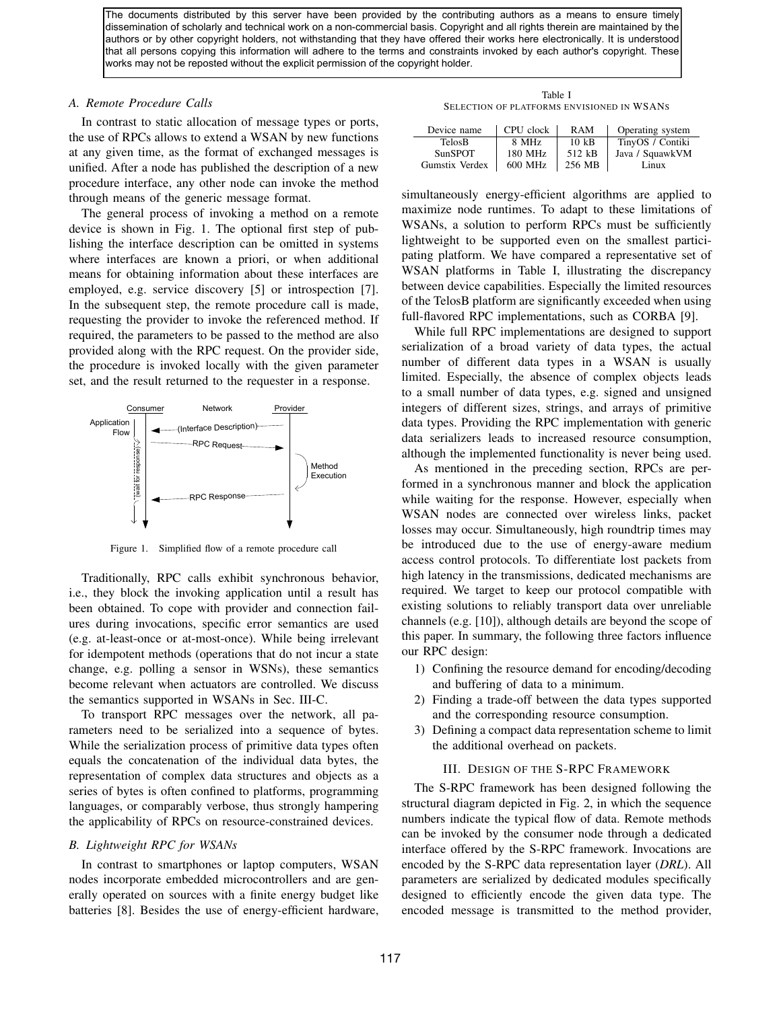The documents distributed by this server have been provided by the contributing authors as a means to ensure timely dissemination of scholarly and technical work on a non-commercial basis. Copyright and all rights therein are maintained by the authors or by other copyright holders, not withstanding that they have offered their works here electronically. It is understood that all persons copying this information will adhere to the terms and constraints invoked by each author's copyright. These works may not be reposted without the explicit permission of the copyright holder.

## *A. Remote Procedure Calls*

In contrast to static allocation of message types or ports, the use of RPCs allows to extend a WSAN by new functions at any given time, as the format of exchanged messages is unified. After a node has published the description of a new procedure interface, any other node can invoke the method through means of the generic message format.

The general process of invoking a method on a remote device is shown in Fig. 1. The optional first step of publishing the interface description can be omitted in systems where interfaces are known a priori, or when additional means for obtaining information about these interfaces are employed, e.g. service discovery [5] or introspection [7]. In the subsequent step, the remote procedure call is made, requesting the provider to invoke the referenced method. If required, the parameters to be passed to the method are also provided along with the RPC request. On the provider side, the procedure is invoked locally with the given parameter set, and the result returned to the requester in a response.



Figure 1. Simplified flow of a remote procedure call

Traditionally, RPC calls exhibit synchronous behavior, i.e., they block the invoking application until a result has been obtained. To cope with provider and connection failures during invocations, specific error semantics are used (e.g. at-least-once or at-most-once). While being irrelevant for idempotent methods (operations that do not incur a state change, e.g. polling a sensor in WSNs), these semantics become relevant when actuators are controlled. We discuss the semantics supported in WSANs in Sec. III-C.

To transport RPC messages over the network, all parameters need to be serialized into a sequence of bytes. While the serialization process of primitive data types often equals the concatenation of the individual data bytes, the representation of complex data structures and objects as a series of bytes is often confined to platforms, programming languages, or comparably verbose, thus strongly hampering the applicability of RPCs on resource-constrained devices.

#### *B. Lightweight RPC for WSANs*

In contrast to smartphones or laptop computers, WSAN nodes incorporate embedded microcontrollers and are generally operated on sources with a finite energy budget like batteries [8]. Besides the use of energy-efficient hardware,

Table I SELECTION OF PLATFORMS ENVISIONED IN WSANS

| Device name    | CPU clock | <b>RAM</b>      | Operating system |
|----------------|-----------|-----------------|------------------|
| TelosB         | 8 MHz     | $10 \text{ kB}$ | TinyOS / Contiki |
| <b>SunSPOT</b> | 180 MHz   | 512 kB          | Java / SquawkVM  |
| Gumstix Verdex | 600 MHz   | 256 MB          | Linux            |

simultaneously energy-efficient algorithms are applied to maximize node runtimes. To adapt to these limitations of WSANs, a solution to perform RPCs must be sufficiently lightweight to be supported even on the smallest participating platform. We have compared a representative set of WSAN platforms in Table I, illustrating the discrepancy between device capabilities. Especially the limited resources of the TelosB platform are significantly exceeded when using full-flavored RPC implementations, such as CORBA [9].

While full RPC implementations are designed to support serialization of a broad variety of data types, the actual number of different data types in a WSAN is usually limited. Especially, the absence of complex objects leads to a small number of data types, e.g. signed and unsigned integers of different sizes, strings, and arrays of primitive data types. Providing the RPC implementation with generic data serializers leads to increased resource consumption, although the implemented functionality is never being used.

As mentioned in the preceding section, RPCs are performed in a synchronous manner and block the application while waiting for the response. However, especially when WSAN nodes are connected over wireless links, packet losses may occur. Simultaneously, high roundtrip times may be introduced due to the use of energy-aware medium access control protocols. To differentiate lost packets from high latency in the transmissions, dedicated mechanisms are required. We target to keep our protocol compatible with existing solutions to reliably transport data over unreliable channels (e.g. [10]), although details are beyond the scope of this paper. In summary, the following three factors influence our RPC design:

- 1) Confining the resource demand for encoding/decoding and buffering of data to a minimum.
- 2) Finding a trade-off between the data types supported and the corresponding resource consumption.
- 3) Defining a compact data representation scheme to limit the additional overhead on packets.

## III. DESIGN OF THE S-RPC FRAMEWORK

The S-RPC framework has been designed following the structural diagram depicted in Fig. 2, in which the sequence numbers indicate the typical flow of data. Remote methods can be invoked by the consumer node through a dedicated interface offered by the S-RPC framework. Invocations are encoded by the S-RPC data representation layer (*DRL*). All parameters are serialized by dedicated modules specifically designed to efficiently encode the given data type. The encoded message is transmitted to the method provider,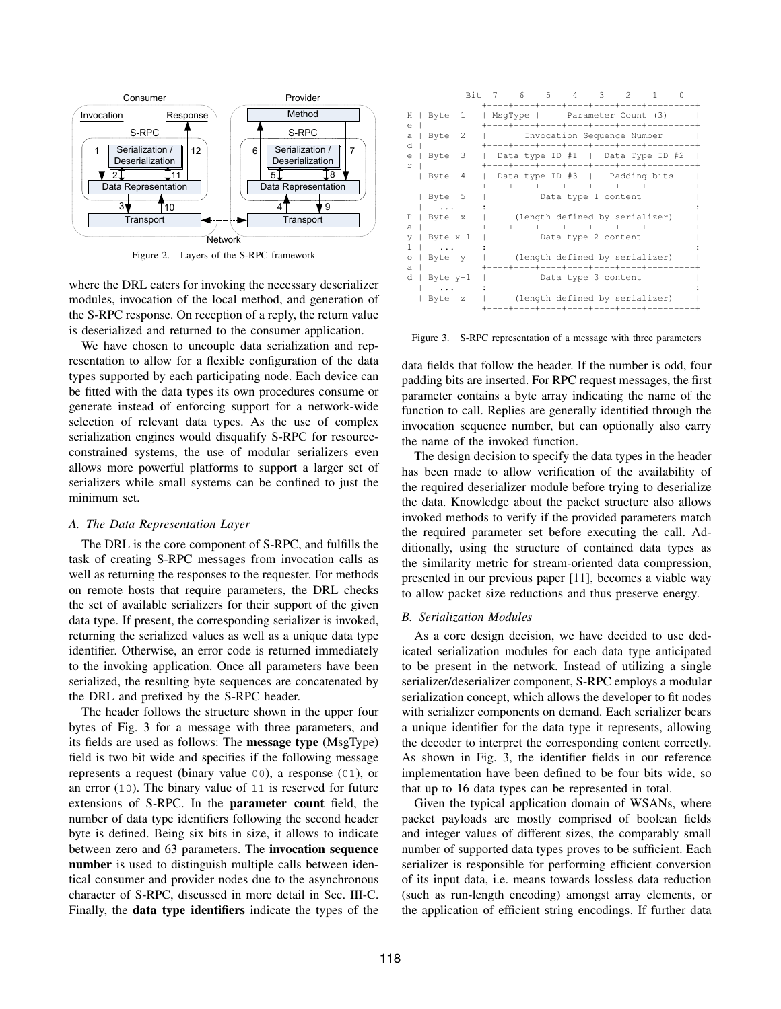

Figure 2. Layers of the S-RPC framework

where the DRL caters for invoking the necessary deserializer modules, invocation of the local method, and generation of the S-RPC response. On reception of a reply, the return value is deserialized and returned to the consumer application.

We have chosen to uncouple data serialization and representation to allow for a flexible configuration of the data types supported by each participating node. Each device can be fitted with the data types its own procedures consume or generate instead of enforcing support for a network-wide selection of relevant data types. As the use of complex serialization engines would disqualify S-RPC for resourceconstrained systems, the use of modular serializers even allows more powerful platforms to support a larger set of serializers while small systems can be confined to just the minimum set.

#### *A. The Data Representation Layer*

The DRL is the core component of S-RPC, and fulfills the task of creating S-RPC messages from invocation calls as well as returning the responses to the requester. For methods on remote hosts that require parameters, the DRL checks the set of available serializers for their support of the given data type. If present, the corresponding serializer is invoked, returning the serialized values as well as a unique data type identifier. Otherwise, an error code is returned immediately to the invoking application. Once all parameters have been serialized, the resulting byte sequences are concatenated by the DRL and prefixed by the S-RPC header.

The header follows the structure shown in the upper four bytes of Fig. 3 for a message with three parameters, and its fields are used as follows: The message type (MsgType) field is two bit wide and specifies if the following message represents a request (binary value 00), a response (01), or an error (10). The binary value of 11 is reserved for future extensions of S-RPC. In the parameter count field, the number of data type identifiers following the second header byte is defined. Being six bits in size, it allows to indicate between zero and 63 parameters. The invocation sequence number is used to distinguish multiple calls between identical consumer and provider nodes due to the asynchronous character of S-RPC, discussed in more detail in Sec. III-C. Finally, the data type identifiers indicate the types of the

|        |          |     |  | Bit 7 6 5 4 3 2<br>----+----+----+----+----+----+----+----+                                                     |  | $\mathbf{1}$ |  |
|--------|----------|-----|--|-----------------------------------------------------------------------------------------------------------------|--|--------------|--|
| Н<br>e | Byte 1   |     |  | MsqType   Parameter Count (3)                                                                                   |  |              |  |
| a<br>d | Byte     | 2   |  | Invocation Sequence Number                                                                                      |  |              |  |
| e<br>r | Byte     | 3   |  | Data type ID #1   Data Type ID #2                                                                               |  |              |  |
|        | Byte     | - 4 |  | Data type ID #3   Padding bits<br>----+----+----+----+----+----+----+----+-                                     |  |              |  |
|        | Byte 5   |     |  | Data type 1 content                                                                                             |  |              |  |
| Ρ<br>a | Byte x   |     |  | (length defined by serializer)<br>---+----+----+----+---+                                                       |  |              |  |
| V      | Byte x+1 |     |  | Data type 2 content                                                                                             |  |              |  |
| a      | Byte y   |     |  | (length defined by serializer)<br>. _ _ _ + _ _ _ _ + _ _ _ _ + _ _ _ + _ _ _ + _ _ _ + _ _ _ + _ _ _ + _ _ _ + |  |              |  |
| d      | Byte y+1 |     |  | Data type 3 content                                                                                             |  |              |  |
|        | Byte z   |     |  | (length defined by serializer)<br>---+----+----+----+----+--                                                    |  |              |  |

Figure 3. S-RPC representation of a message with three parameters

data fields that follow the header. If the number is odd, four padding bits are inserted. For RPC request messages, the first parameter contains a byte array indicating the name of the function to call. Replies are generally identified through the invocation sequence number, but can optionally also carry the name of the invoked function.

The design decision to specify the data types in the header has been made to allow verification of the availability of the required deserializer module before trying to deserialize the data. Knowledge about the packet structure also allows invoked methods to verify if the provided parameters match the required parameter set before executing the call. Additionally, using the structure of contained data types as the similarity metric for stream-oriented data compression, presented in our previous paper [11], becomes a viable way to allow packet size reductions and thus preserve energy.

#### *B. Serialization Modules*

As a core design decision, we have decided to use dedicated serialization modules for each data type anticipated to be present in the network. Instead of utilizing a single serializer/deserializer component, S-RPC employs a modular serialization concept, which allows the developer to fit nodes with serializer components on demand. Each serializer bears a unique identifier for the data type it represents, allowing the decoder to interpret the corresponding content correctly. As shown in Fig. 3, the identifier fields in our reference implementation have been defined to be four bits wide, so that up to 16 data types can be represented in total.

Given the typical application domain of WSANs, where packet payloads are mostly comprised of boolean fields and integer values of different sizes, the comparably small number of supported data types proves to be sufficient. Each serializer is responsible for performing efficient conversion of its input data, i.e. means towards lossless data reduction (such as run-length encoding) amongst array elements, or the application of efficient string encodings. If further data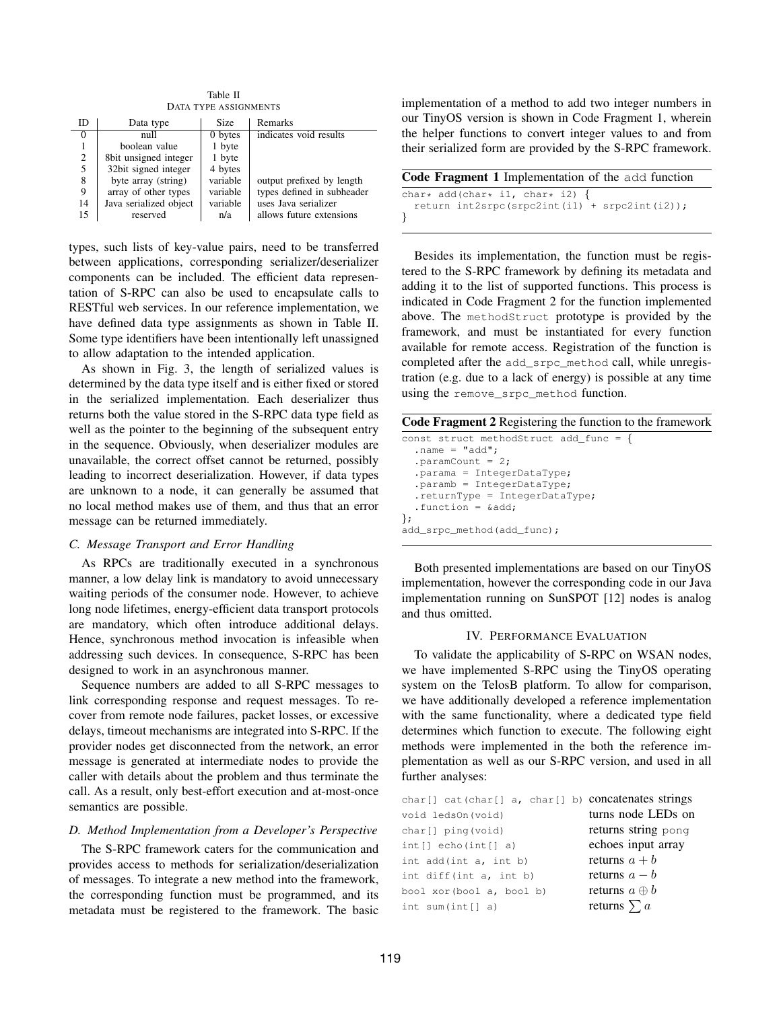Table II DATA TYPE ASSIGNMENTS

| ID       | Data type              | Size     | Remarks                    |
|----------|------------------------|----------|----------------------------|
| $\Omega$ | null                   | 0 bytes  | indicates void results     |
|          | boolean value          | 1 byte   |                            |
| 2        | 8bit unsigned integer  | 1 byte   |                            |
| 5        | 32bit signed integer   | 4 bytes  |                            |
| 8        | byte array (string)    | variable | output prefixed by length  |
| 9        | array of other types   | variable | types defined in subheader |
| 14       | Java serialized object | variable | uses Java serializer       |
| 15       | reserved               | n/a      | allows future extensions   |

types, such lists of key-value pairs, need to be transferred between applications, corresponding serializer/deserializer components can be included. The efficient data representation of S-RPC can also be used to encapsulate calls to RESTful web services. In our reference implementation, we have defined data type assignments as shown in Table II. Some type identifiers have been intentionally left unassigned to allow adaptation to the intended application.

As shown in Fig. 3, the length of serialized values is determined by the data type itself and is either fixed or stored in the serialized implementation. Each deserializer thus returns both the value stored in the S-RPC data type field as well as the pointer to the beginning of the subsequent entry in the sequence. Obviously, when deserializer modules are unavailable, the correct offset cannot be returned, possibly leading to incorrect deserialization. However, if data types are unknown to a node, it can generally be assumed that no local method makes use of them, and thus that an error message can be returned immediately.

## *C. Message Transport and Error Handling*

As RPCs are traditionally executed in a synchronous manner, a low delay link is mandatory to avoid unnecessary waiting periods of the consumer node. However, to achieve long node lifetimes, energy-efficient data transport protocols are mandatory, which often introduce additional delays. Hence, synchronous method invocation is infeasible when addressing such devices. In consequence, S-RPC has been designed to work in an asynchronous manner.

Sequence numbers are added to all S-RPC messages to link corresponding response and request messages. To recover from remote node failures, packet losses, or excessive delays, timeout mechanisms are integrated into S-RPC. If the provider nodes get disconnected from the network, an error message is generated at intermediate nodes to provide the caller with details about the problem and thus terminate the call. As a result, only best-effort execution and at-most-once semantics are possible.

#### *D. Method Implementation from a Developer's Perspective*

The S-RPC framework caters for the communication and provides access to methods for serialization/deserialization of messages. To integrate a new method into the framework, the corresponding function must be programmed, and its metadata must be registered to the framework. The basic implementation of a method to add two integer numbers in our TinyOS version is shown in Code Fragment 1, wherein the helper functions to convert integer values to and from their serialized form are provided by the S-RPC framework.

| Code Fragment 1 Implementation of the add function                               |
|----------------------------------------------------------------------------------|
| char* add(char* i1, char* i2) {<br>return int2srpc(srpc2int(i1) + srpc2int(i2)); |
|                                                                                  |

Besides its implementation, the function must be registered to the S-RPC framework by defining its metadata and adding it to the list of supported functions. This process is indicated in Code Fragment 2 for the function implemented above. The methodStruct prototype is provided by the framework, and must be instantiated for every function available for remote access. Registration of the function is completed after the add\_srpc\_method call, while unregistration (e.g. due to a lack of energy) is possible at any time using the remove\_srpc\_method function.

| const struct methodStruct add_func = { |
|----------------------------------------|
| . name $=$ "add";                      |
| .paramCount = $2$ ;                    |
| $partama = IntegerDataType;$           |
| $partamb = IntegerDataType;$           |
| $:$ returnType = IntegerDataType;      |
| . function = $\&add$                   |
| ∤;                                     |
| add_srpc_method(add_func);             |
|                                        |

Both presented implementations are based on our TinyOS implementation, however the corresponding code in our Java implementation running on SunSPOT [12] nodes is analog and thus omitted.

## IV. PERFORMANCE EVALUATION

To validate the applicability of S-RPC on WSAN nodes, we have implemented S-RPC using the TinyOS operating system on the TelosB platform. To allow for comparison, we have additionally developed a reference implementation with the same functionality, where a dedicated type field determines which function to execute. The following eight methods were implemented in the both the reference implementation as well as our S-RPC version, and used in all further analyses:

| char[] cat(char[] a, char[] b) concatenates strings |                      |
|-----------------------------------------------------|----------------------|
| void ledsOn(void)                                   | turns node LEDs on   |
| char[] ping(void)                                   | returns string pong  |
| $int[]$ echo( $int[]$ a)                            | echoes input array   |
| int add(int a, int b)                               | returns $a + b$      |
| int diff(int a, int b)                              | returns $a - b$      |
| bool xor (bool a, bool b)                           | returns $a \oplus b$ |
| int sum $(int[] a)$                                 | returns $\sum a$     |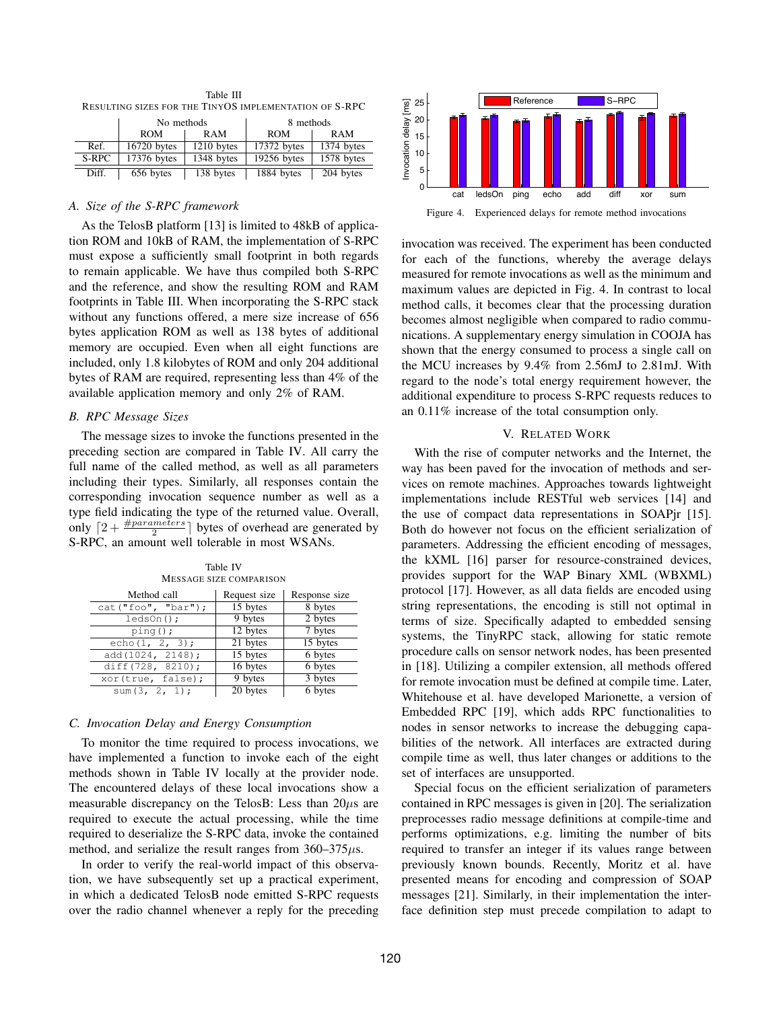| RESULTING SIZES FOR THE TINYOS IMPLEMENTATION OF S-RPC |                   |            |             |            |  |
|--------------------------------------------------------|-------------------|------------|-------------|------------|--|
|                                                        | No methods        |            | 8 methods   |            |  |
|                                                        | <b>ROM</b><br>RAM |            | <b>ROM</b>  | RAM        |  |
| Ref.                                                   | 16720 bytes       | 1210 bytes | 17372 bytes | 1374 bytes |  |
| S-RPC                                                  | 17376 bytes       | 1348 bytes | 19256 bytes | 1578 bytes |  |
| Diff.                                                  | 656 bytes         | 138 bytes  | 1884 bytes  | 204 bytes  |  |

Table III

# *A. Size of the S-RPC framework*

As the TelosB platform [13] is limited to 48kB of application ROM and 10kB of RAM, the implementation of S-RPC must expose a sufficiently small footprint in both regards to remain applicable. We have thus compiled both S-RPC and the reference, and show the resulting ROM and RAM footprints in Table III. When incorporating the S-RPC stack without any functions offered, a mere size increase of 656 bytes application ROM as well as 138 bytes of additional memory are occupied. Even when all eight functions are included, only 1.8 kilobytes of ROM and only 204 additional bytes of RAM are required, representing less than 4% of the available application memory and only 2% of RAM.

### *B. RPC Message Sizes*

The message sizes to invoke the functions presented in the preceding section are compared in Table IV. All carry the full name of the called method, as well as all parameters including their types. Similarly, all responses contain the corresponding invocation sequence number as well as a type field indicating the type of the returned value. Overall, only  $\lceil 2 + \frac{\# parameters}{2} \rceil$  bytes of overhead are generated by S-RPC, an amount well tolerable in most WSANs.

| IMESSAGE SIZE COMPARISON |              |               |  |  |  |
|--------------------------|--------------|---------------|--|--|--|
| Method call              | Request size | Response size |  |  |  |
| cat("foo", "bar");       | 15 bytes     | 8 bytes       |  |  |  |
| $ledson()$ ;             | 9 bytes      | 2 bytes       |  |  |  |
| $pinq()$ ;               | 12 bytes     | 7 bytes       |  |  |  |
| echo $(1, 2, 3)$ ;       | 21 bytes     | 15 bytes      |  |  |  |
| add(1024, 2148);         | 15 bytes     | 6 bytes       |  |  |  |
| diff(728, 8210);         | 16 bytes     | 6 bytes       |  |  |  |
| xor(true, false);        | 9 bytes      | 3 bytes       |  |  |  |
| sum $(3, 2, 1)$ ;        | 20 bytes     | 6 bytes       |  |  |  |

#### Table IV MESSAGE SIZE COMPARISON

## *C. Invocation Delay and Energy Consumption*

To monitor the time required to process invocations, we have implemented a function to invoke each of the eight methods shown in Table IV locally at the provider node. The encountered delays of these local invocations show a measurable discrepancy on the TelosB: Less than  $20\mu s$  are required to execute the actual processing, while the time required to deserialize the S-RPC data, invoke the contained method, and serialize the result ranges from  $360-375\mu s$ .

In order to verify the real-world impact of this observation, we have subsequently set up a practical experiment, in which a dedicated TelosB node emitted S-RPC requests over the radio channel whenever a reply for the preceding



Figure 4. Experienced delays for remote method invocations

invocation was received. The experiment has been conducted for each of the functions, whereby the average delays measured for remote invocations as well as the minimum and maximum values are depicted in Fig. 4. In contrast to local method calls, it becomes clear that the processing duration becomes almost negligible when compared to radio communications. A supplementary energy simulation in COOJA has shown that the energy consumed to process a single call on the MCU increases by 9.4% from 2.56mJ to 2.81mJ. With regard to the node's total energy requirement however, the additional expenditure to process S-RPC requests reduces to an 0.11% increase of the total consumption only.

## V. RELATED WORK

With the rise of computer networks and the Internet, the way has been paved for the invocation of methods and services on remote machines. Approaches towards lightweight implementations include RESTful web services [14] and the use of compact data representations in SOAPjr [15]. Both do however not focus on the efficient serialization of parameters. Addressing the efficient encoding of messages, the kXML [16] parser for resource-constrained devices, provides support for the WAP Binary XML (WBXML) protocol [17]. However, as all data fields are encoded using string representations, the encoding is still not optimal in terms of size. Specifically adapted to embedded sensing systems, the TinyRPC stack, allowing for static remote procedure calls on sensor network nodes, has been presented in [18]. Utilizing a compiler extension, all methods offered for remote invocation must be defined at compile time. Later, Whitehouse et al. have developed Marionette, a version of Embedded RPC [19], which adds RPC functionalities to nodes in sensor networks to increase the debugging capabilities of the network. All interfaces are extracted during compile time as well, thus later changes or additions to the set of interfaces are unsupported.

Special focus on the efficient serialization of parameters contained in RPC messages is given in [20]. The serialization preprocesses radio message definitions at compile-time and performs optimizations, e.g. limiting the number of bits required to transfer an integer if its values range between previously known bounds. Recently, Moritz et al. have presented means for encoding and compression of SOAP messages [21]. Similarly, in their implementation the interface definition step must precede compilation to adapt to